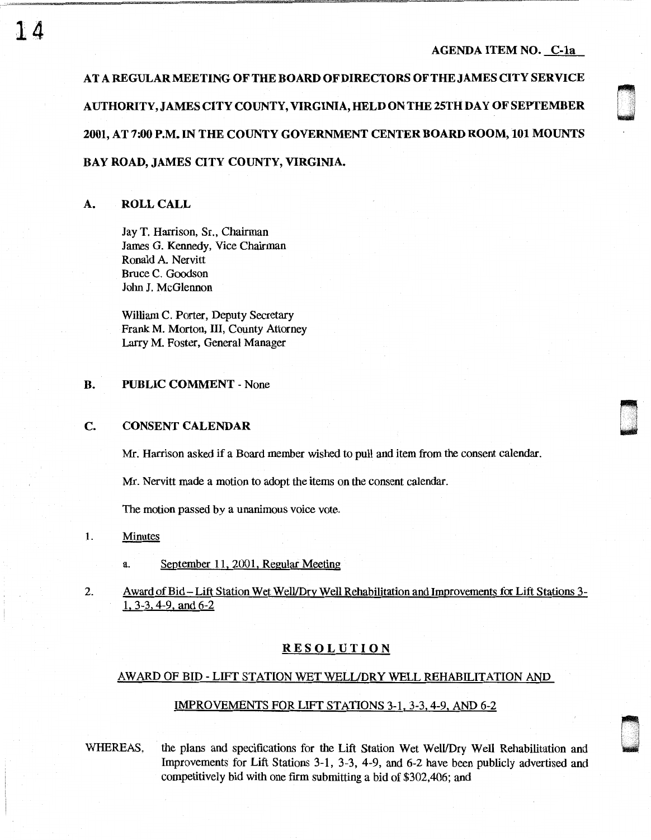#### AGENDA ITEM NO. C-1a

 $\sim$ w

ri w .

ATAREGULARMEETINGOFTHEBOARDOFDIRECTORSOFTHEJAMESCITYSERVICE AUTHORITY, JAMES CITY COUNTY, VIRGINIA, HELD ON THE 25TH DAY OF SEPTEMBER 2001, AT 7:00 P.M. IN THE COUNTY GOVERNMENT CENTER BOARD ROOM, 101 MOUNTS BAY ROAD, JAMES CITY COUNTY, VIRGINIA.

# A. ROLL CALL

Jay T. Harrison, Sr., Chairman James G. Kennedy, Vice Chairman Ronald A. Nervitt Bruce C. Goodson John J. McGlennon

William C. Porter, Deputy Secretary Frank M. Morton, III, County Attorney Larry M. Foster, General Manager

#### B. PUBLIC COMMENT - None

# c. CONSENT CALENDAR

Mr. Harrison asked if a Board member wished to pull and item from the consent calendar.

Mr. Nervitt made a motion to adopt the items on the consent calendar.

The motion passed by a unanimous voice vote.

## 1. Minutes

a. September 11, 2001, Regular Meeting

2. Award of Bid-Lift Station Wet Well/Dry Well Rehabilitation and Improvements for Lift Stations 3- 1. 3-3, 4-9, and 6-2

# **RESOLUTION**

# AWARD OF BID - LIFT STATION WET WELL/DRY WELL REHABILITATION AND

### IMPROVEMENTS FOR LIFT STATIONS 3-1, 3-3, 4-9, AND 6-2

WHEREAS, the plans and specifications for the Lift Station Wet Well/Dry Well Rehabilitation and Improvements for Lift Stations 3-1, 3-3, 4-9, and 6-2 have been publicly advertised and competitively bid with one firm submitting a bid of \$302,406; and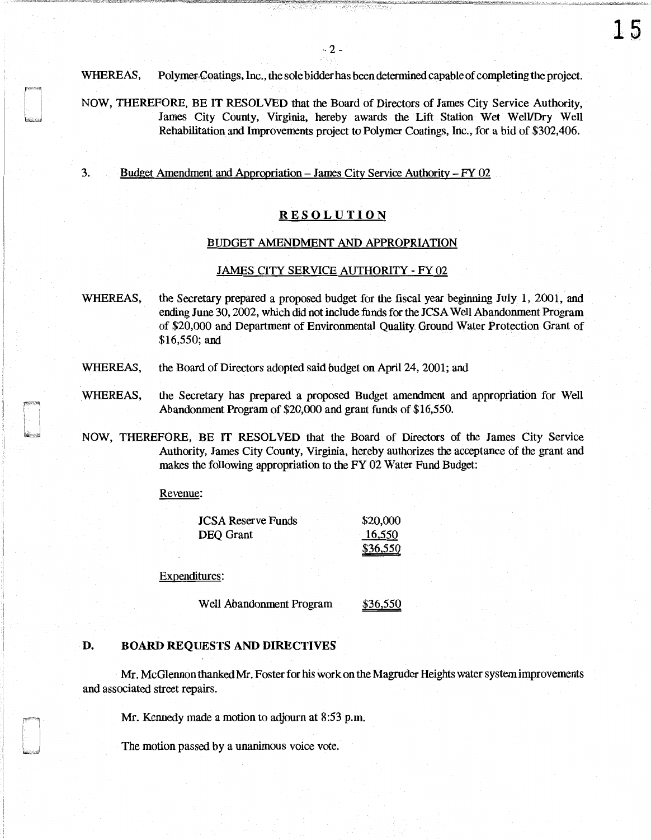WHEREAS, Polymer Coatings, Inc., the sole bidder has been determined capable of completing the project.

NOW, THEREFORE, BE IT RESOLVED that the Board of Directors of James City Service Authority, James City County, Virginia, hereby awards the Lift Station Wet Well/Dry Well Rehabilitation and Improvements project to Polymer Coatings, Inc., for a bid of \$302,406.

3. Budget Amendment and Appropriation - James City Service Authority - FY 02

### **RESOLUTION**

#### BUDGET AMENDMENT AND APPROPRIATION

#### JAMES CITY SERVICE AUTHORITY - FY 02

WHEREAS, the Secretary prepared a proposed budget for the fiscal year beginning July 1, 2001, and ending June 30, 2002, which did not include funds for the JCSA Well Abandonment Program of \$20,000 and Department of Environmental Quality Ground Water Protection Grant of \$16,550; and

- WHEREAS, the Board of Directors adopted said budget on April 24, 2001; and
- WHEREAS, the Secretary has prepared a proposed Budget amendment and appropriation for Well Abandonment Program of \$20,000 and grant funds of \$16,550.
- NOW, THEREFORE, BE IT RESOLVED that the Board of Directors of the James City Service Authority, James City County, Virginia, hereby authorizes the acceptance of the grant and makes the following appropriation to the FY 02 Water Fund Budget:

Revenue:

| <b>JCSA Reserve Funds</b> |  | \$20,000 |
|---------------------------|--|----------|
| <b>DEO</b> Grant          |  | 16,550   |
|                           |  | \$36,550 |

Expenditures:

Well Abandonment Program \$36,550

### D. BOARD REQUESTS AND DIRECTIVES

Mr. McGlennon thanked Mr. Foster for his work on the Magruder Heights water system improvements and associated street repairs.

Mr. Kennedy made a motion to adjourn at 8:53 p.m.

The motion passed by a unanimous voice vote.